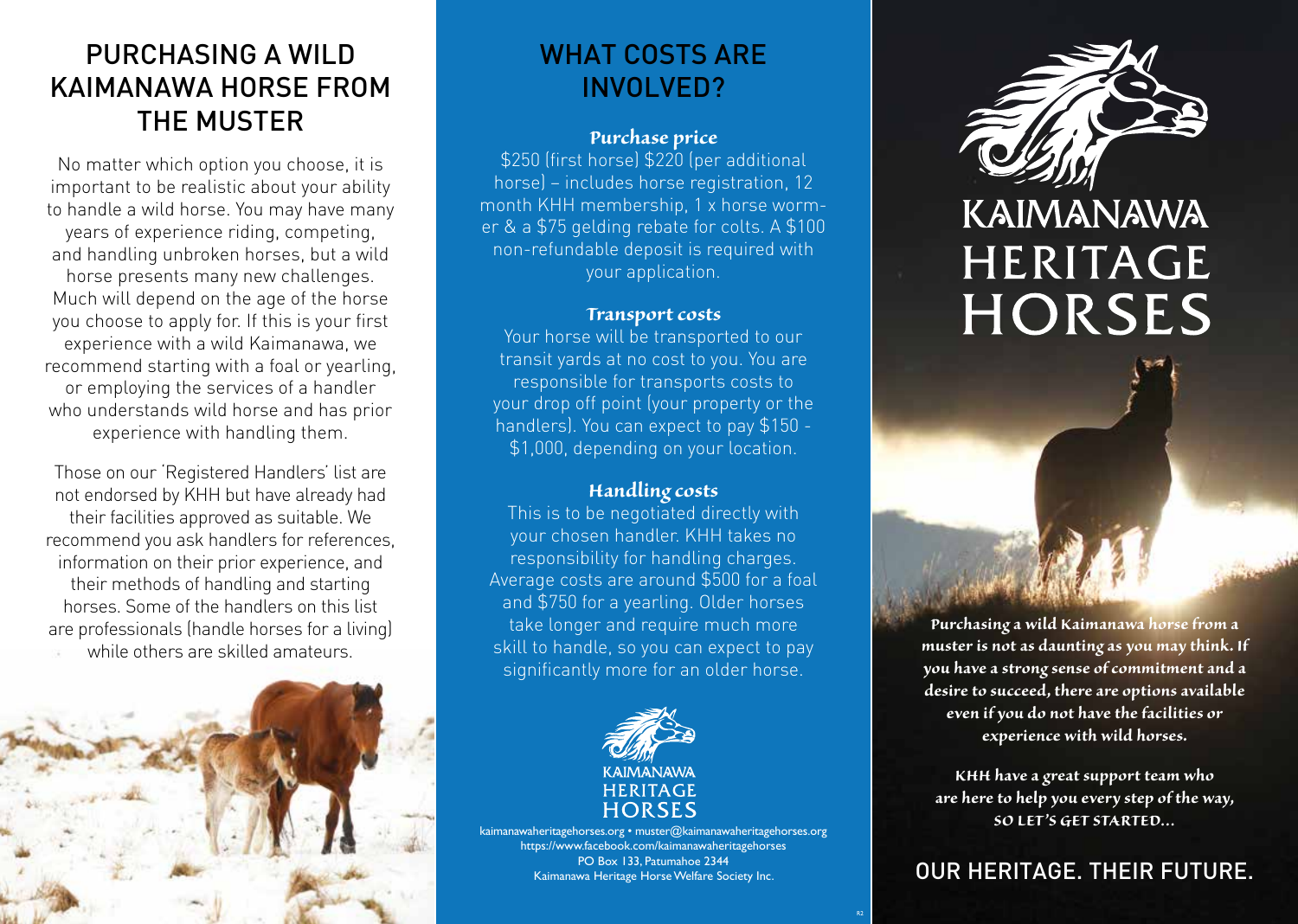## PURCHASING A WILD KAIMANAWA HORSE FROM THE MUSTER

No matter which option you choose, it is important to be realistic about your ability to handle a wild horse. You may have many years of experience riding, competing, and handling unbroken horses, but a wild horse presents many new challenges. Much will depend on the age of the horse you choose to apply for. If this is your first experience with a wild Kaimanawa, we recommend starting with a foal or yearling, or employing the services of a handler who understands wild horse and has prior experience with handling them.

Those on our 'Registered Handlers' list are not endorsed by KHH but have already had their facilities approved as suitable. We recommend you ask handlers for references, information on their prior experience, and their methods of handling and starting horses. Some of the handlers on this list are professionals (handle horses for a living) while others are skilled amateurs.



## WHAT COSTS ARE INVOLVED?

#### *Purchase price*

\$250 (first horse) \$220 (per additional horse) – includes horse registration, 12 month KHH membership, 1 x horse wormer & a \$75 gelding rebate for colts. A \$100 non-refundable deposit is required with your application.

#### *Transport costs*

Your horse will be transported to our transit yards at no cost to you. You are responsible for transports costs to your drop off point (your property or the handlers). You can expect to pay \$150 - \$1,000, depending on your location.

#### *Handling costs*

This is to be negotiated directly with your chosen handler. KHH takes no responsibility for handling charges. Average costs are around \$500 for a foal and \$750 for a yearling. Older horses take longer and require much more skill to handle, so you can expect to pay significantly more for an older horse.



kaimanawaheritagehorses.org • muster@kaimanawaheritagehorses.org https://www.facebook.com/kaimanawaheritagehorses PO Box 133, Patumahoe 2344 Kaimanawa Heritage Horse Welfare Society Inc.



# KAIMANAWA **HERITAGE HORSES**

*Purchasing a wild Kaimanawa horse from a muster is not as daunting as you may think. If you have a strong sense of commitment and a desire to succeed, there are options available even if you do not have the facilities or experience with wild horses.*

*KHH have a great support team who are here to help you every step of the way, SO LET'S GET STARTED…* 

### OUR HERITAGE. THEIR FUTURE.